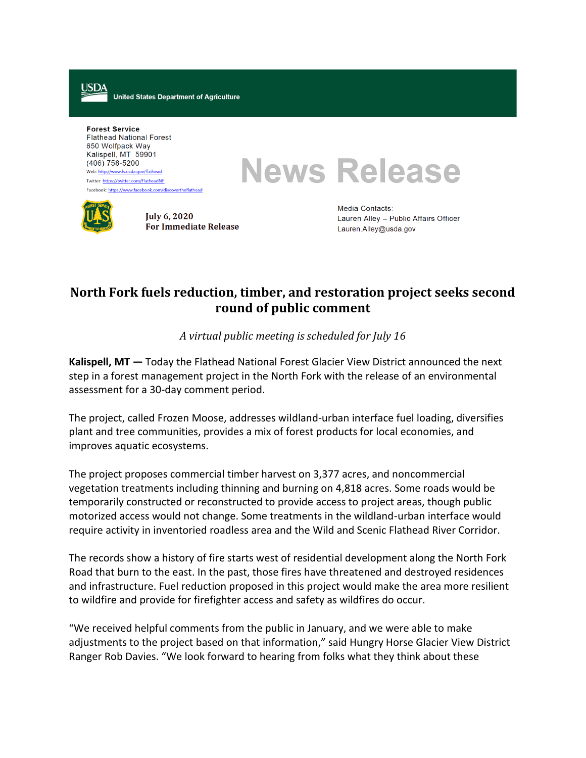**United States Department of Agriculture** 

**Forest Service Flathead National Forest** 650 Wolfpack Way Kalispell, MT 59901  $(406)$  758-5200 Web: http://www.fs.usda.gov/flathead Twitter: https://twitter.com/FlatheadNF Facebook: https://www.facebook.com/discovertheflathead

**News Release** 



USDA

**July 6, 2020 For Immediate Release**  Media Contacts: Lauren Alley - Public Affairs Officer Lauren.Alley@usda.gov

## **North Fork fuels reduction, timber, and restoration project seeks second round of public comment**

*A virtual public meeting is scheduled for July 16*

**Kalispell, MT —** Today the Flathead National Forest Glacier View District announced the next step in a forest management project in the North Fork with the release of an environmental assessment for a 30-day comment period.

The project, called Frozen Moose, addresses wildland-urban interface fuel loading, diversifies plant and tree communities, provides a mix of forest products for local economies, and improves aquatic ecosystems.

The project proposes commercial timber harvest on 3,377 acres, and noncommercial vegetation treatments including thinning and burning on 4,818 acres. Some roads would be temporarily constructed or reconstructed to provide access to project areas, though public motorized access would not change. Some treatments in the wildland-urban interface would require activity in inventoried roadless area and the Wild and Scenic Flathead River Corridor.

The records show a history of fire starts west of residential development along the North Fork Road that burn to the east. In the past, those fires have threatened and destroyed residences and infrastructure. Fuel reduction proposed in this project would make the area more resilient to wildfire and provide for firefighter access and safety as wildfires do occur.

"We received helpful comments from the public in January, and we were able to make adjustments to the project based on that information," said Hungry Horse Glacier View District Ranger Rob Davies. "We look forward to hearing from folks what they think about these